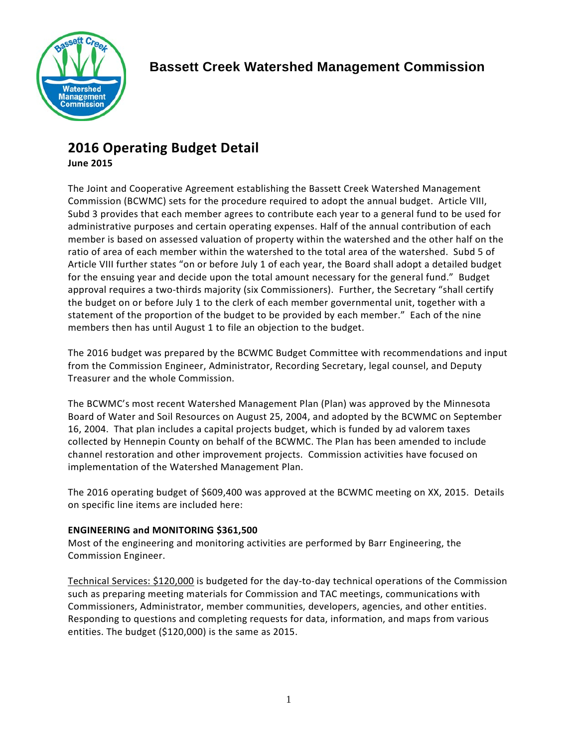

# **2016 Operating Budget Detail**

**June 2015**

The Joint and Cooperative Agreement establishing the Bassett Creek Watershed Management Commission (BCWMC) sets for the procedure required to adopt the annual budget. Article VIII, Subd 3 provides that each member agrees to contribute each year to a general fund to be used for administrative purposes and certain operating expenses. Half of the annual contribution of each member is based on assessed valuation of property within the watershed and the other half on the ratio of area of each member within the watershed to the total area of the watershed. Subd 5 of Article VIII further states "on or before July 1 of each year, the Board shall adopt a detailed budget for the ensuing year and decide upon the total amount necessary for the general fund." Budget approval requires a two-thirds majority (six Commissioners). Further, the Secretary "shall certify the budget on or before July 1 to the clerk of each member governmental unit, together with a statement of the proportion of the budget to be provided by each member." Each of the nine members then has until August 1 to file an objection to the budget.

The 2016 budget was prepared by the BCWMC Budget Committee with recommendations and input from the Commission Engineer, Administrator, Recording Secretary, legal counsel, and Deputy Treasurer and the whole Commission.

The BCWMC's most recent Watershed Management Plan (Plan) was approved by the Minnesota Board of Water and Soil Resources on August 25, 2004, and adopted by the BCWMC on September 16, 2004. That plan includes a capital projects budget, which is funded by ad valorem taxes collected by Hennepin County on behalf of the BCWMC. The Plan has been amended to include channel restoration and other improvement projects. Commission activities have focused on implementation of the Watershed Management Plan.

The 2016 operating budget of \$609,400 was approved at the BCWMC meeting on XX, 2015. Details on specific line items are included here:

## **ENGINEERING and MONITORING \$361,500**

Most of the engineering and monitoring activities are performed by Barr Engineering, the Commission Engineer.

Technical Services: \$120,000 is budgeted for the day-to-day technical operations of the Commission such as preparing meeting materials for Commission and TAC meetings, communications with Commissioners, Administrator, member communities, developers, agencies, and other entities. Responding to questions and completing requests for data, information, and maps from various entities. The budget (\$120,000) is the same as 2015.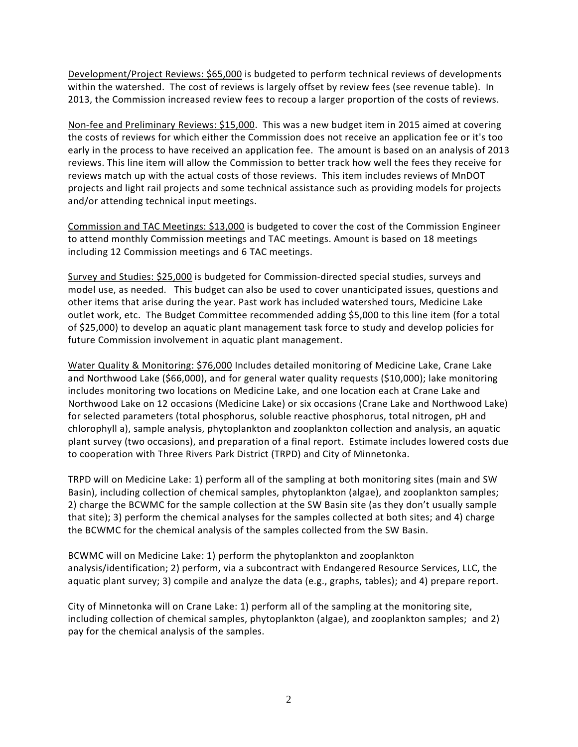Development/Project Reviews: \$65,000 is budgeted to perform technical reviews of developments within the watershed. The cost of reviews is largely offset by review fees (see revenue table). In 2013, the Commission increased review fees to recoup a larger proportion of the costs of reviews.

Non-fee and Preliminary Reviews: \$15,000. This was a new budget item in 2015 aimed at covering the costs of reviews for which either the Commission does not receive an application fee or it's too early in the process to have received an application fee. The amount is based on an analysis of 2013 reviews. This line item will allow the Commission to better track how well the fees they receive for reviews match up with the actual costs of those reviews. This item includes reviews of MnDOT projects and light rail projects and some technical assistance such as providing models for projects and/or attending technical input meetings.

Commission and TAC Meetings: \$13,000 is budgeted to cover the cost of the Commission Engineer to attend monthly Commission meetings and TAC meetings. Amount is based on 18 meetings including 12 Commission meetings and 6 TAC meetings.

Survey and Studies: \$25,000 is budgeted for Commission-directed special studies, surveys and model use, as needed. This budget can also be used to cover unanticipated issues, questions and other items that arise during the year. Past work has included watershed tours, Medicine Lake outlet work, etc. The Budget Committee recommended adding \$5,000 to this line item (for a total of \$25,000) to develop an aquatic plant management task force to study and develop policies for future Commission involvement in aquatic plant management.

Water Quality & Monitoring: \$76,000 Includes detailed monitoring of Medicine Lake, Crane Lake and Northwood Lake (\$66,000), and for general water quality requests (\$10,000); lake monitoring includes monitoring two locations on Medicine Lake, and one location each at Crane Lake and Northwood Lake on 12 occasions (Medicine Lake) or six occasions (Crane Lake and Northwood Lake) for selected parameters (total phosphorus, soluble reactive phosphorus, total nitrogen, pH and chlorophyll a), sample analysis, phytoplankton and zooplankton collection and analysis, an aquatic plant survey (two occasions), and preparation of a final report. Estimate includes lowered costs due to cooperation with Three Rivers Park District (TRPD) and City of Minnetonka.

TRPD will on Medicine Lake: 1) perform all of the sampling at both monitoring sites (main and SW Basin), including collection of chemical samples, phytoplankton (algae), and zooplankton samples; 2) charge the BCWMC for the sample collection at the SW Basin site (as they don't usually sample that site); 3) perform the chemical analyses for the samples collected at both sites; and 4) charge the BCWMC for the chemical analysis of the samples collected from the SW Basin.

BCWMC will on Medicine Lake: 1) perform the phytoplankton and zooplankton analysis/identification; 2) perform, via a subcontract with Endangered Resource Services, LLC, the aquatic plant survey; 3) compile and analyze the data (e.g., graphs, tables); and 4) prepare report.

City of Minnetonka will on Crane Lake: 1) perform all of the sampling at the monitoring site, including collection of chemical samples, phytoplankton (algae), and zooplankton samples; and 2) pay for the chemical analysis of the samples.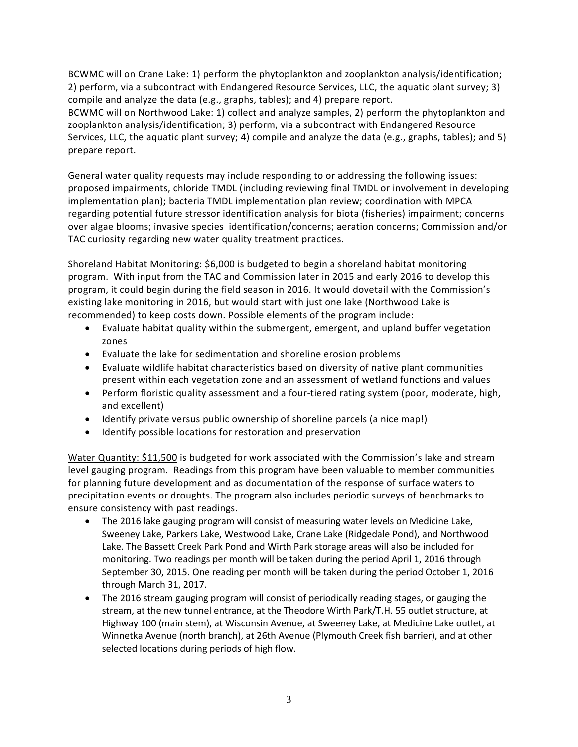BCWMC will on Crane Lake: 1) perform the phytoplankton and zooplankton analysis/identification; 2) perform, via a subcontract with Endangered Resource Services, LLC, the aquatic plant survey; 3) compile and analyze the data (e.g., graphs, tables); and 4) prepare report.

BCWMC will on Northwood Lake: 1) collect and analyze samples, 2) perform the phytoplankton and zooplankton analysis/identification; 3) perform, via a subcontract with Endangered Resource Services, LLC, the aquatic plant survey; 4) compile and analyze the data (e.g., graphs, tables); and 5) prepare report.

General water quality requests may include responding to or addressing the following issues: proposed impairments, chloride TMDL (including reviewing final TMDL or involvement in developing implementation plan); bacteria TMDL implementation plan review; coordination with MPCA regarding potential future stressor identification analysis for biota (fisheries) impairment; concerns over algae blooms; invasive species identification/concerns; aeration concerns; Commission and/or TAC curiosity regarding new water quality treatment practices.

Shoreland Habitat Monitoring: \$6,000 is budgeted to begin a shoreland habitat monitoring program. With input from the TAC and Commission later in 2015 and early 2016 to develop this program, it could begin during the field season in 2016. It would dovetail with the Commission's existing lake monitoring in 2016, but would start with just one lake (Northwood Lake is recommended) to keep costs down. Possible elements of the program include:

- Evaluate habitat quality within the submergent, emergent, and upland buffer vegetation zones
- Evaluate the lake for sedimentation and shoreline erosion problems
- Evaluate wildlife habitat characteristics based on diversity of native plant communities present within each vegetation zone and an assessment of wetland functions and values
- Perform floristic quality assessment and a four-tiered rating system (poor, moderate, high, and excellent)
- Identify private versus public ownership of shoreline parcels (a nice map!)
- Identify possible locations for restoration and preservation

Water Quantity: \$11,500 is budgeted for work associated with the Commission's lake and stream level gauging program. Readings from this program have been valuable to member communities for planning future development and as documentation of the response of surface waters to precipitation events or droughts. The program also includes periodic surveys of benchmarks to ensure consistency with past readings.

- The 2016 lake gauging program will consist of measuring water levels on Medicine Lake, Sweeney Lake, Parkers Lake, Westwood Lake, Crane Lake (Ridgedale Pond), and Northwood Lake. The Bassett Creek Park Pond and Wirth Park storage areas will also be included for monitoring. Two readings per month will be taken during the period April 1, 2016 through September 30, 2015. One reading per month will be taken during the period October 1, 2016 through March 31, 2017.
- The 2016 stream gauging program will consist of periodically reading stages, or gauging the stream, at the new tunnel entrance, at the Theodore Wirth Park/T.H. 55 outlet structure, at Highway 100 (main stem), at Wisconsin Avenue, at Sweeney Lake, at Medicine Lake outlet, at Winnetka Avenue (north branch), at 26th Avenue (Plymouth Creek fish barrier), and at other selected locations during periods of high flow.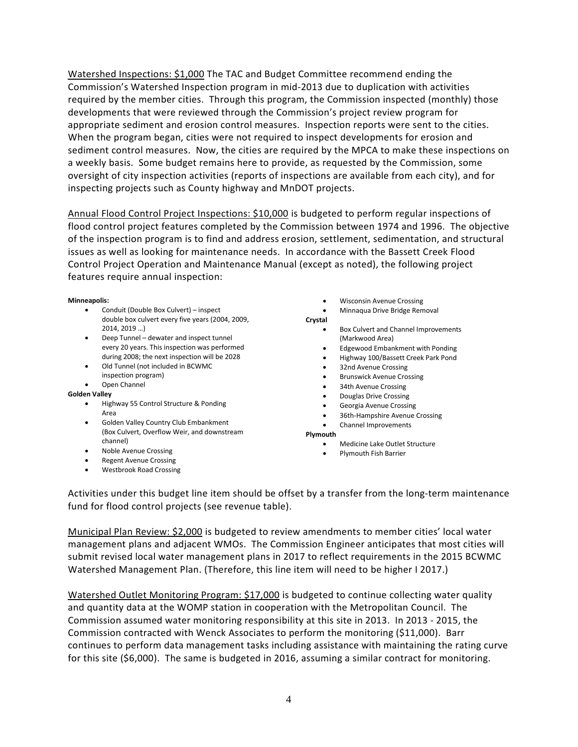Watershed Inspections: \$1,000 The TAC and Budget Committee recommend ending the Commission's Watershed Inspection program in mid-2013 due to duplication with activities required by the member cities. Through this program, the Commission inspected (monthly) those developments that were reviewed through the Commission's project review program for appropriate sediment and erosion control measures. Inspection reports were sent to the cities. When the program began, cities were not required to inspect developments for erosion and sediment control measures. Now, the cities are required by the MPCA to make these inspections on a weekly basis. Some budget remains here to provide, as requested by the Commission, some oversight of city inspection activities (reports of inspections are available from each city), and for inspecting projects such as County highway and MnDOT projects.

Annual Flood Control Project Inspections: \$10,000 is budgeted to perform regular inspections of flood control project features completed by the Commission between 1974 and 1996. The objective of the inspection program is to find and address erosion, settlement, sedimentation, and structural issues as well as looking for maintenance needs. In accordance with the Bassett Creek Flood Control Project Operation and Maintenance Manual (except as noted), the following project features require annual inspection:

**Minneapolis:**

- Conduit (Double Box Culvert) inspect double box culvert every five years (2004, 2009, 2014, 2019 …)
- Deep Tunnel dewater and inspect tunnel every 20 years. This inspection was performed during 2008; the next inspection will be 2028
- Old Tunnel (not included in BCWMC inspection program)
- Open Channel

#### **Golden Valley**

- Highway 55 Control Structure & Ponding Area
- Golden Valley Country Club Embankment (Box Culvert, Overflow Weir, and downstream channel)
- Noble Avenue Crossing
- Regent Avenue Crossing
- Westbrook Road Crossing
- Wisconsin Avenue Crossing
- Minnaqua Drive Bridge Removal

#### **Crystal**

- Box Culvert and Channel Improvements (Markwood Area)
- Edgewood Embankment with Ponding
- Highway 100/Bassett Creek Park Pond
- 32nd Avenue Crossing
- Brunswick Avenue Crossing
- 34th Avenue Crossing
- Douglas Drive Crossing
- Georgia Avenue Crossing
	- 36th-Hampshire Avenue Crossing
- Channel Improvements

**Plymouth**

- Medicine Lake Outlet Structure
- Plymouth Fish Barrier

Activities under this budget line item should be offset by a transfer from the long-term maintenance fund for flood control projects (see revenue table).

Municipal Plan Review: \$2,000 is budgeted to review amendments to member cities' local water management plans and adjacent WMOs. The Commission Engineer anticipates that most cities will submit revised local water management plans in 2017 to reflect requirements in the 2015 BCWMC Watershed Management Plan. (Therefore, this line item will need to be higher I 2017.)

Watershed Outlet Monitoring Program: \$17,000 is budgeted to continue collecting water quality and quantity data at the WOMP station in cooperation with the Metropolitan Council. The Commission assumed water monitoring responsibility at this site in 2013. In 2013 - 2015, the Commission contracted with Wenck Associates to perform the monitoring (\$11,000). Barr continues to perform data management tasks including assistance with maintaining the rating curve for this site (\$6,000). The same is budgeted in 2016, assuming a similar contract for monitoring.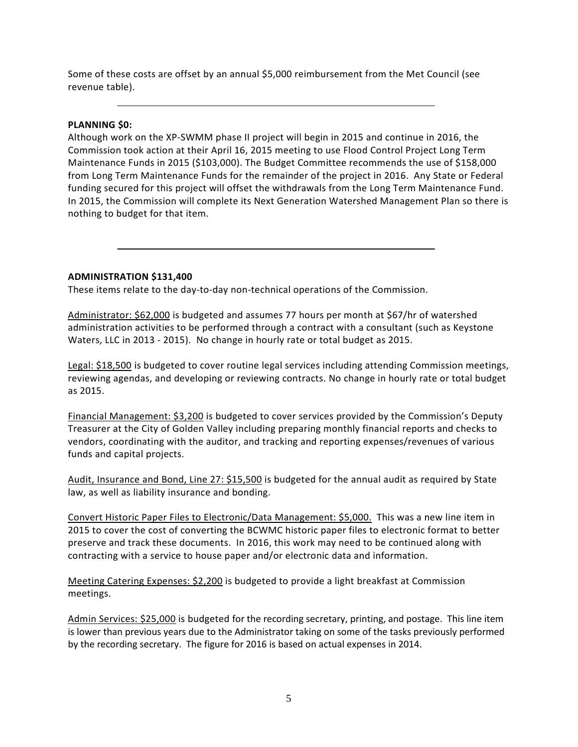Some of these costs are offset by an annual \$5,000 reimbursement from the Met Council (see revenue table).

### **PLANNING \$0:**

Although work on the XP-SWMM phase II project will begin in 2015 and continue in 2016, the Commission took action at their April 16, 2015 meeting to use Flood Control Project Long Term Maintenance Funds in 2015 (\$103,000). The Budget Committee recommends the use of \$158,000 from Long Term Maintenance Funds for the remainder of the project in 2016. Any State or Federal funding secured for this project will offset the withdrawals from the Long Term Maintenance Fund. In 2015, the Commission will complete its Next Generation Watershed Management Plan so there is nothing to budget for that item.

#### **ADMINISTRATION \$131,400**

These items relate to the day-to-day non-technical operations of the Commission.

Administrator: \$62,000 is budgeted and assumes 77 hours per month at \$67/hr of watershed administration activities to be performed through a contract with a consultant (such as Keystone Waters, LLC in 2013 - 2015). No change in hourly rate or total budget as 2015.

Legal: \$18,500 is budgeted to cover routine legal services including attending Commission meetings, reviewing agendas, and developing or reviewing contracts. No change in hourly rate or total budget as 2015.

Financial Management: \$3,200 is budgeted to cover services provided by the Commission's Deputy Treasurer at the City of Golden Valley including preparing monthly financial reports and checks to vendors, coordinating with the auditor, and tracking and reporting expenses/revenues of various funds and capital projects.

Audit, Insurance and Bond, Line 27: \$15,500 is budgeted for the annual audit as required by State law, as well as liability insurance and bonding.

Convert Historic Paper Files to Electronic/Data Management: \$5,000. This was a new line item in 2015 to cover the cost of converting the BCWMC historic paper files to electronic format to better preserve and track these documents. In 2016, this work may need to be continued along with contracting with a service to house paper and/or electronic data and information.

Meeting Catering Expenses: \$2,200 is budgeted to provide a light breakfast at Commission meetings.

Admin Services: \$25,000 is budgeted for the recording secretary, printing, and postage. This line item is lower than previous years due to the Administrator taking on some of the tasks previously performed by the recording secretary. The figure for 2016 is based on actual expenses in 2014.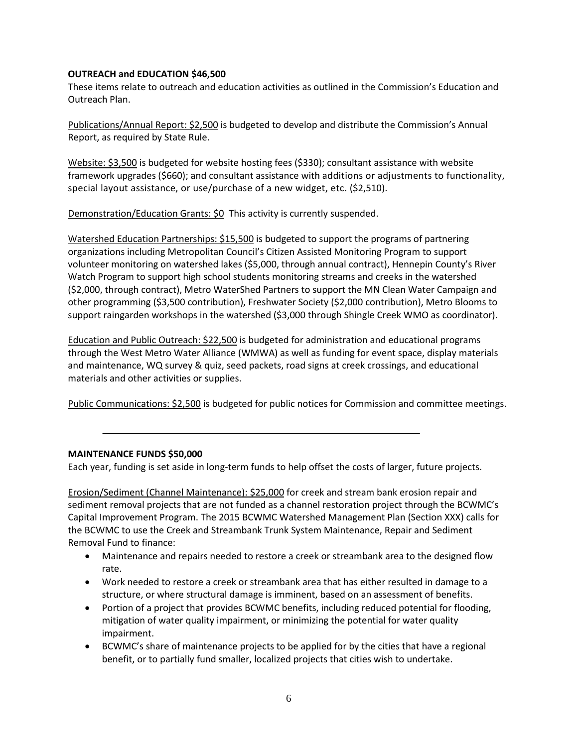### **OUTREACH and EDUCATION \$46,500**

These items relate to outreach and education activities as outlined in the Commission's Education and Outreach Plan.

Publications/Annual Report: \$2,500 is budgeted to develop and distribute the Commission's Annual Report, as required by State Rule.

Website: \$3,500 is budgeted for website hosting fees (\$330); consultant assistance with website framework upgrades (\$660); and consultant assistance with additions or adjustments to functionality, special layout assistance, or use/purchase of a new widget, etc. (\$2,510).

Demonstration/Education Grants: \$0 This activity is currently suspended.

Watershed Education Partnerships: \$15,500 is budgeted to support the programs of partnering organizations including Metropolitan Council's Citizen Assisted Monitoring Program to support volunteer monitoring on watershed lakes (\$5,000, through annual contract), Hennepin County's River Watch Program to support high school students monitoring streams and creeks in the watershed (\$2,000, through contract), Metro WaterShed Partners to support the MN Clean Water Campaign and other programming (\$3,500 contribution), Freshwater Society (\$2,000 contribution), Metro Blooms to support raingarden workshops in the watershed (\$3,000 through Shingle Creek WMO as coordinator).

Education and Public Outreach: \$22,500 is budgeted for administration and educational programs through the West Metro Water Alliance (WMWA) as well as funding for event space, display materials and maintenance, WQ survey & quiz, seed packets, road signs at creek crossings, and educational materials and other activities or supplies.

Public Communications: \$2,500 is budgeted for public notices for Commission and committee meetings.

#### **MAINTENANCE FUNDS \$50,000**

Each year, funding is set aside in long-term funds to help offset the costs of larger, future projects.

Erosion/Sediment (Channel Maintenance): \$25,000 for creek and stream bank erosion repair and sediment removal projects that are not funded as a channel restoration project through the BCWMC's Capital Improvement Program. The 2015 BCWMC Watershed Management Plan (Section XXX) calls for the BCWMC to use the Creek and Streambank Trunk System Maintenance, Repair and Sediment Removal Fund to finance:

- Maintenance and repairs needed to restore a creek or streambank area to the designed flow rate.
- Work needed to restore a creek or streambank area that has either resulted in damage to a structure, or where structural damage is imminent, based on an assessment of benefits.
- Portion of a project that provides BCWMC benefits, including reduced potential for flooding, mitigation of water quality impairment, or minimizing the potential for water quality impairment.
- BCWMC's share of maintenance projects to be applied for by the cities that have a regional benefit, or to partially fund smaller, localized projects that cities wish to undertake.